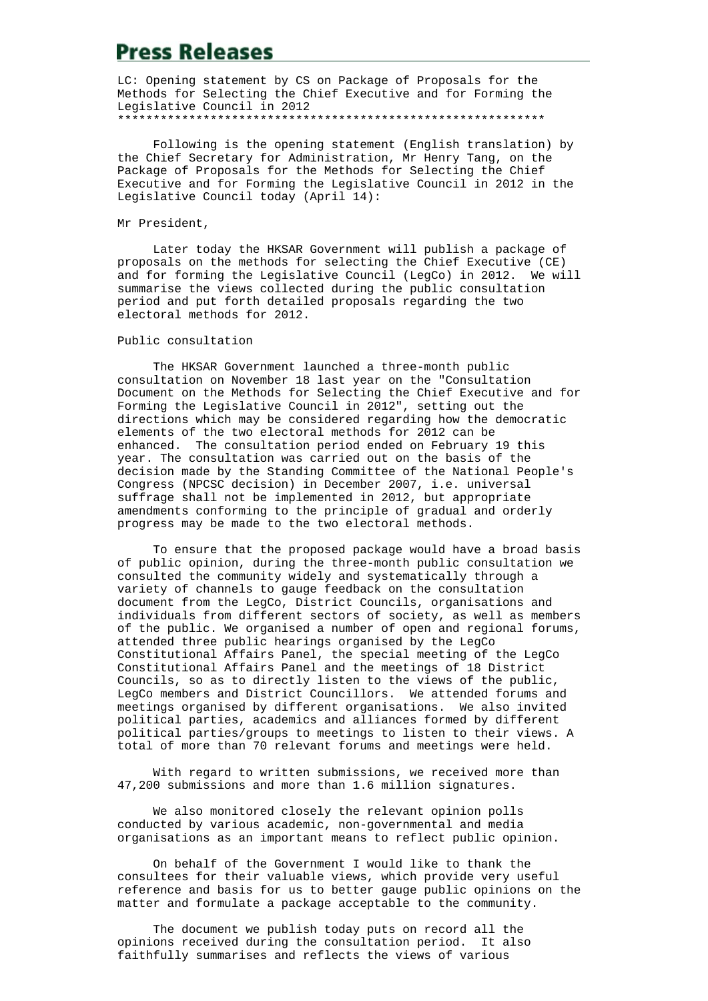# **Press Releases**

LC: Opening statement by CS on Package of Proposals for the Methods for Selecting the Chief Executive and for Forming the Legislative Council in 2012 \*\*\*\*\*\*\*\*\*\*\*\*\*\*\*\*\*\*\*\*\*\*\*\*\*\*\*\*\*\*\*\*\*\*\*\*\*\*\*\*\*\*\*\*\*\*\*\*\*\*\*\*\*\*\*\*\*\*\*\*

 Following is the opening statement (English translation) by the Chief Secretary for Administration, Mr Henry Tang, on the Package of Proposals for the Methods for Selecting the Chief Executive and for Forming the Legislative Council in 2012 in the Legislative Council today (April 14):

#### Mr President,

 Later today the HKSAR Government will publish a package of proposals on the methods for selecting the Chief Executive (CE) and for forming the Legislative Council (LegCo) in 2012. We will summarise the views collected during the public consultation period and put forth detailed proposals regarding the two electoral methods for 2012.

## Public consultation

 The HKSAR Government launched a three-month public consultation on November 18 last year on the "Consultation Document on the Methods for Selecting the Chief Executive and for Forming the Legislative Council in 2012", setting out the directions which may be considered regarding how the democratic elements of the two electoral methods for 2012 can be enhanced. The consultation period ended on February 19 this year. The consultation was carried out on the basis of the decision made by the Standing Committee of the National People's Congress (NPCSC decision) in December 2007, i.e. universal suffrage shall not be implemented in 2012, but appropriate amendments conforming to the principle of gradual and orderly progress may be made to the two electoral methods.

 To ensure that the proposed package would have a broad basis of public opinion, during the three-month public consultation we consulted the community widely and systematically through a variety of channels to gauge feedback on the consultation document from the LegCo, District Councils, organisations and individuals from different sectors of society, as well as members of the public. We organised a number of open and regional forums, attended three public hearings organised by the LegCo Constitutional Affairs Panel, the special meeting of the LegCo Constitutional Affairs Panel and the meetings of 18 District Councils, so as to directly listen to the views of the public, LegCo members and District Councillors. We attended forums and meetings organised by different organisations. We also invited political parties, academics and alliances formed by different political parties/groups to meetings to listen to their views. A total of more than 70 relevant forums and meetings were held.

 With regard to written submissions, we received more than 47,200 submissions and more than 1.6 million signatures.

 We also monitored closely the relevant opinion polls conducted by various academic, non-governmental and media organisations as an important means to reflect public opinion.

 On behalf of the Government I would like to thank the consultees for their valuable views, which provide very useful reference and basis for us to better gauge public opinions on the matter and formulate a package acceptable to the community.

 The document we publish today puts on record all the opinions received during the consultation period. It also faithfully summarises and reflects the views of various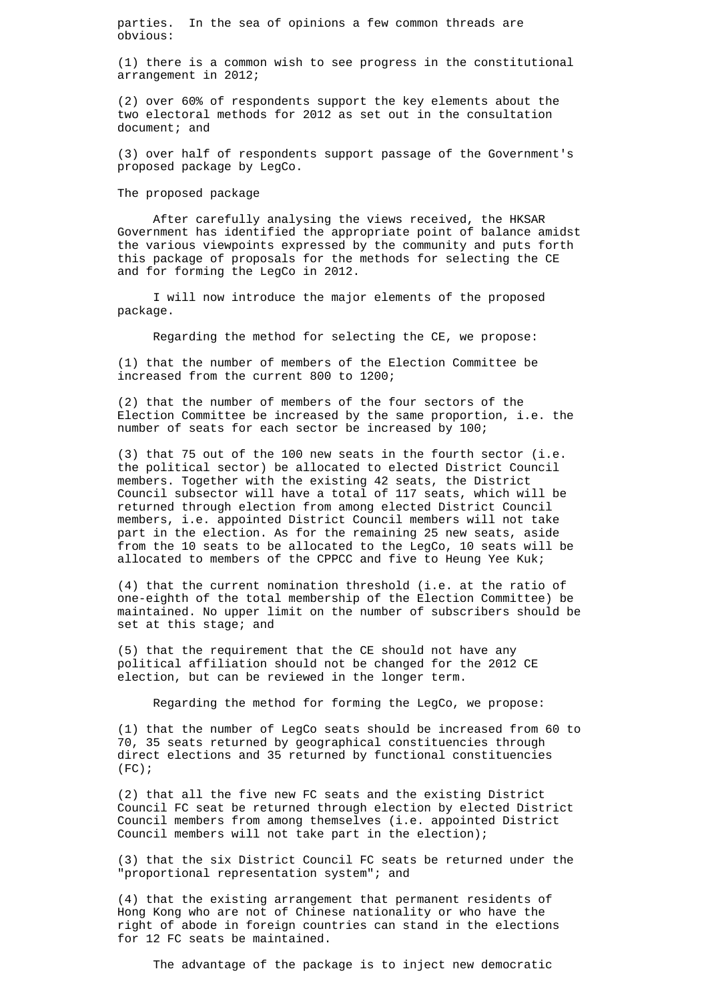parties. In the sea of opinions a few common threads are obvious:

(1) there is a common wish to see progress in the constitutional arrangement in 2012;

(2) over 60% of respondents support the key elements about the two electoral methods for 2012 as set out in the consultation document; and

(3) over half of respondents support passage of the Government's proposed package by LegCo.

#### The proposed package

 After carefully analysing the views received, the HKSAR Government has identified the appropriate point of balance amidst the various viewpoints expressed by the community and puts forth this package of proposals for the methods for selecting the CE and for forming the LegCo in 2012.

 I will now introduce the major elements of the proposed package.

Regarding the method for selecting the CE, we propose:

(1) that the number of members of the Election Committee be increased from the current 800 to 1200;

(2) that the number of members of the four sectors of the Election Committee be increased by the same proportion, i.e. the number of seats for each sector be increased by 100;

(3) that 75 out of the 100 new seats in the fourth sector (i.e. the political sector) be allocated to elected District Council members. Together with the existing 42 seats, the District Council subsector will have a total of 117 seats, which will be returned through election from among elected District Council members, i.e. appointed District Council members will not take part in the election. As for the remaining 25 new seats, aside from the 10 seats to be allocated to the LegCo, 10 seats will be allocated to members of the CPPCC and five to Heung Yee Kuk;

(4) that the current nomination threshold (i.e. at the ratio of one-eighth of the total membership of the Election Committee) be maintained. No upper limit on the number of subscribers should be set at this stage; and

(5) that the requirement that the CE should not have any political affiliation should not be changed for the 2012 CE election, but can be reviewed in the longer term.

Regarding the method for forming the LegCo, we propose:

(1) that the number of LegCo seats should be increased from 60 to 70, 35 seats returned by geographical constituencies through direct elections and 35 returned by functional constituencies  $(FC)$ ;

(2) that all the five new FC seats and the existing District Council FC seat be returned through election by elected District Council members from among themselves (i.e. appointed District Council members will not take part in the election);

(3) that the six District Council FC seats be returned under the "proportional representation system"; and

(4) that the existing arrangement that permanent residents of Hong Kong who are not of Chinese nationality or who have the right of abode in foreign countries can stand in the elections for 12 FC seats be maintained.

The advantage of the package is to inject new democratic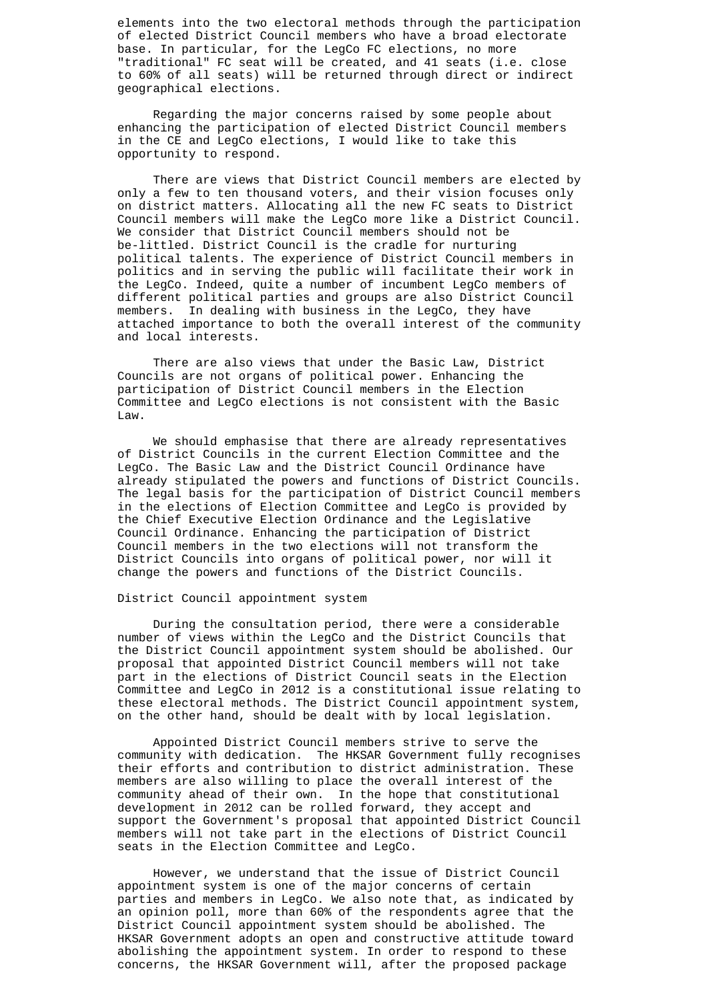elements into the two electoral methods through the participation of elected District Council members who have a broad electorate base. In particular, for the LegCo FC elections, no more "traditional" FC seat will be created, and 41 seats (i.e. close to 60% of all seats) will be returned through direct or indirect geographical elections.

 Regarding the major concerns raised by some people about enhancing the participation of elected District Council members in the CE and LegCo elections, I would like to take this opportunity to respond.

 There are views that District Council members are elected by only a few to ten thousand voters, and their vision focuses only on district matters. Allocating all the new FC seats to District Council members will make the LegCo more like a District Council. We consider that District Council members should not be be-littled. District Council is the cradle for nurturing political talents. The experience of District Council members in politics and in serving the public will facilitate their work in the LegCo. Indeed, quite a number of incumbent LegCo members of different political parties and groups are also District Council members. In dealing with business in the LegCo, they have attached importance to both the overall interest of the community and local interests.

 There are also views that under the Basic Law, District Councils are not organs of political power. Enhancing the participation of District Council members in the Election Committee and LegCo elections is not consistent with the Basic  $L \supseteq M$ 

 We should emphasise that there are already representatives of District Councils in the current Election Committee and the LegCo. The Basic Law and the District Council Ordinance have already stipulated the powers and functions of District Councils. The legal basis for the participation of District Council members in the elections of Election Committee and LegCo is provided by the Chief Executive Election Ordinance and the Legislative Council Ordinance. Enhancing the participation of District Council members in the two elections will not transform the District Councils into organs of political power, nor will it change the powers and functions of the District Councils.

## District Council appointment system

 During the consultation period, there were a considerable number of views within the LegCo and the District Councils that the District Council appointment system should be abolished. Our proposal that appointed District Council members will not take part in the elections of District Council seats in the Election Committee and LegCo in 2012 is a constitutional issue relating to these electoral methods. The District Council appointment system, on the other hand, should be dealt with by local legislation.

 Appointed District Council members strive to serve the community with dedication. The HKSAR Government fully recognises their efforts and contribution to district administration. These members are also willing to place the overall interest of the community ahead of their own. In the hope that constitutional development in 2012 can be rolled forward, they accept and support the Government's proposal that appointed District Council members will not take part in the elections of District Council seats in the Election Committee and LegCo.

 However, we understand that the issue of District Council appointment system is one of the major concerns of certain parties and members in LegCo. We also note that, as indicated by an opinion poll, more than 60% of the respondents agree that the District Council appointment system should be abolished. The HKSAR Government adopts an open and constructive attitude toward abolishing the appointment system. In order to respond to these concerns, the HKSAR Government will, after the proposed package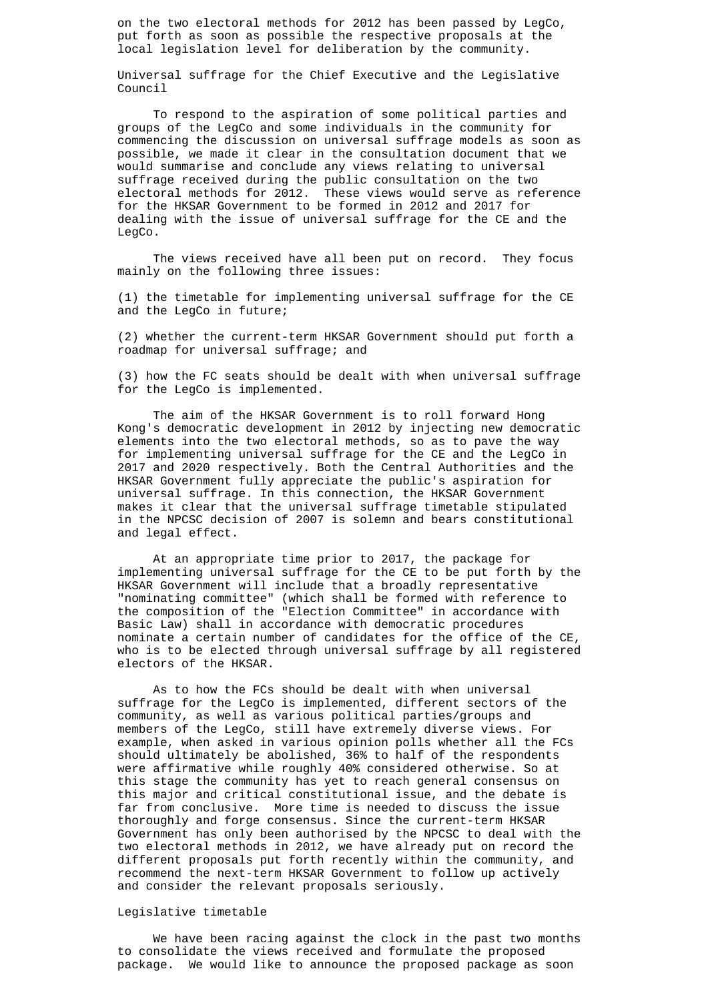on the two electoral methods for 2012 has been passed by LegCo, put forth as soon as possible the respective proposals at the local legislation level for deliberation by the community.

Universal suffrage for the Chief Executive and the Legislative Council

 To respond to the aspiration of some political parties and groups of the LegCo and some individuals in the community for commencing the discussion on universal suffrage models as soon as possible, we made it clear in the consultation document that we would summarise and conclude any views relating to universal suffrage received during the public consultation on the two electoral methods for 2012. These views would serve as reference for the HKSAR Government to be formed in 2012 and 2017 for dealing with the issue of universal suffrage for the CE and the LegCo.

 The views received have all been put on record. They focus mainly on the following three issues:

(1) the timetable for implementing universal suffrage for the CE and the LegCo in future;

(2) whether the current-term HKSAR Government should put forth a roadmap for universal suffrage; and

(3) how the FC seats should be dealt with when universal suffrage for the LegCo is implemented.

 The aim of the HKSAR Government is to roll forward Hong Kong's democratic development in 2012 by injecting new democratic elements into the two electoral methods, so as to pave the way for implementing universal suffrage for the CE and the LegCo in 2017 and 2020 respectively. Both the Central Authorities and the HKSAR Government fully appreciate the public's aspiration for universal suffrage. In this connection, the HKSAR Government makes it clear that the universal suffrage timetable stipulated in the NPCSC decision of 2007 is solemn and bears constitutional and legal effect.

 At an appropriate time prior to 2017, the package for implementing universal suffrage for the CE to be put forth by the HKSAR Government will include that a broadly representative "nominating committee" (which shall be formed with reference to the composition of the "Election Committee" in accordance with Basic Law) shall in accordance with democratic procedures nominate a certain number of candidates for the office of the CE, who is to be elected through universal suffrage by all registered electors of the HKSAR.

 As to how the FCs should be dealt with when universal suffrage for the LegCo is implemented, different sectors of the community, as well as various political parties/groups and members of the LegCo, still have extremely diverse views. For example, when asked in various opinion polls whether all the FCs should ultimately be abolished, 36% to half of the respondents were affirmative while roughly 40% considered otherwise. So at this stage the community has yet to reach general consensus on this major and critical constitutional issue, and the debate is far from conclusive. More time is needed to discuss the issue thoroughly and forge consensus. Since the current-term HKSAR Government has only been authorised by the NPCSC to deal with the two electoral methods in 2012, we have already put on record the different proposals put forth recently within the community, and recommend the next-term HKSAR Government to follow up actively and consider the relevant proposals seriously.

#### Legislative timetable

 We have been racing against the clock in the past two months to consolidate the views received and formulate the proposed package. We would like to announce the proposed package as soon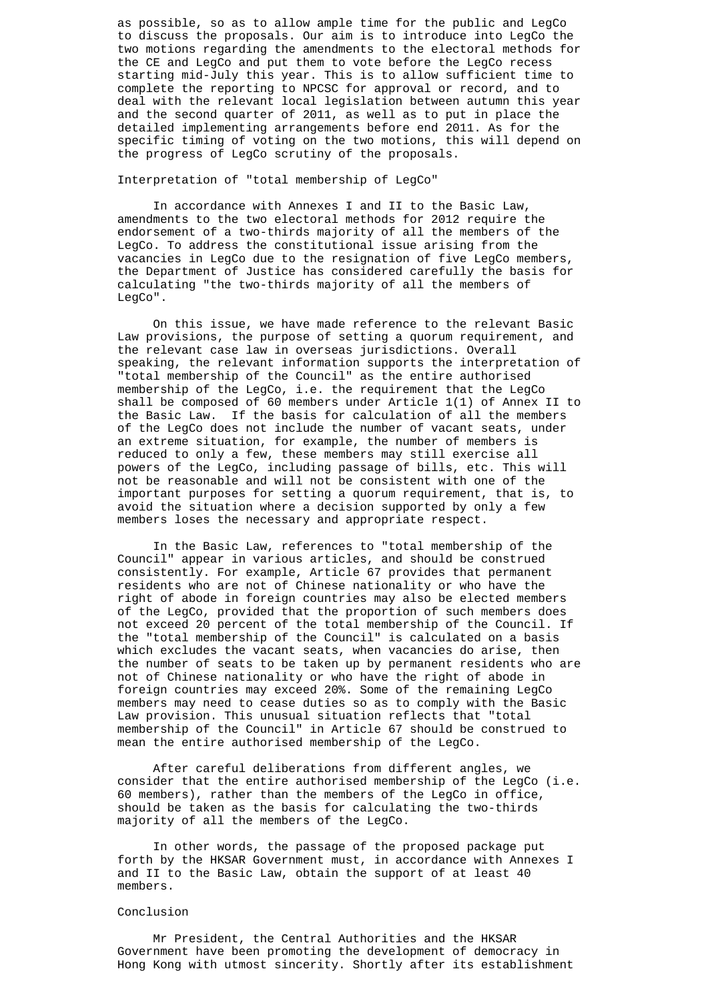as possible, so as to allow ample time for the public and LegCo to discuss the proposals. Our aim is to introduce into LegCo the two motions regarding the amendments to the electoral methods for the CE and LegCo and put them to vote before the LegCo recess starting mid-July this year. This is to allow sufficient time to complete the reporting to NPCSC for approval or record, and to deal with the relevant local legislation between autumn this year and the second quarter of 2011, as well as to put in place the detailed implementing arrangements before end 2011. As for the specific timing of voting on the two motions, this will depend on the progress of LegCo scrutiny of the proposals.

## Interpretation of "total membership of LegCo"

 In accordance with Annexes I and II to the Basic Law, amendments to the two electoral methods for 2012 require the endorsement of a two-thirds majority of all the members of the LegCo. To address the constitutional issue arising from the vacancies in LegCo due to the resignation of five LegCo members, the Department of Justice has considered carefully the basis for calculating "the two-thirds majority of all the members of LegCo".

 On this issue, we have made reference to the relevant Basic Law provisions, the purpose of setting a quorum requirement, and the relevant case law in overseas jurisdictions. Overall speaking, the relevant information supports the interpretation of "total membership of the Council" as the entire authorised membership of the LegCo, i.e. the requirement that the LegCo shall be composed of 60 members under Article 1(1) of Annex II to the Basic Law. If the basis for calculation of all the members of the LegCo does not include the number of vacant seats, under an extreme situation, for example, the number of members is reduced to only a few, these members may still exercise all powers of the LegCo, including passage of bills, etc. This will not be reasonable and will not be consistent with one of the important purposes for setting a quorum requirement, that is, to avoid the situation where a decision supported by only a few members loses the necessary and appropriate respect.

 In the Basic Law, references to "total membership of the Council" appear in various articles, and should be construed consistently. For example, Article 67 provides that permanent residents who are not of Chinese nationality or who have the right of abode in foreign countries may also be elected members of the LegCo, provided that the proportion of such members does not exceed 20 percent of the total membership of the Council. If the "total membership of the Council" is calculated on a basis which excludes the vacant seats, when vacancies do arise, then the number of seats to be taken up by permanent residents who are not of Chinese nationality or who have the right of abode in foreign countries may exceed 20%. Some of the remaining LegCo members may need to cease duties so as to comply with the Basic Law provision. This unusual situation reflects that "total membership of the Council" in Article 67 should be construed to mean the entire authorised membership of the LegCo.

 After careful deliberations from different angles, we consider that the entire authorised membership of the LegCo (i.e. 60 members), rather than the members of the LegCo in office, should be taken as the basis for calculating the two-thirds majority of all the members of the LegCo.

 In other words, the passage of the proposed package put forth by the HKSAR Government must, in accordance with Annexes I and II to the Basic Law, obtain the support of at least 40 members.

#### Conclusion

 Mr President, the Central Authorities and the HKSAR Government have been promoting the development of democracy in Hong Kong with utmost sincerity. Shortly after its establishment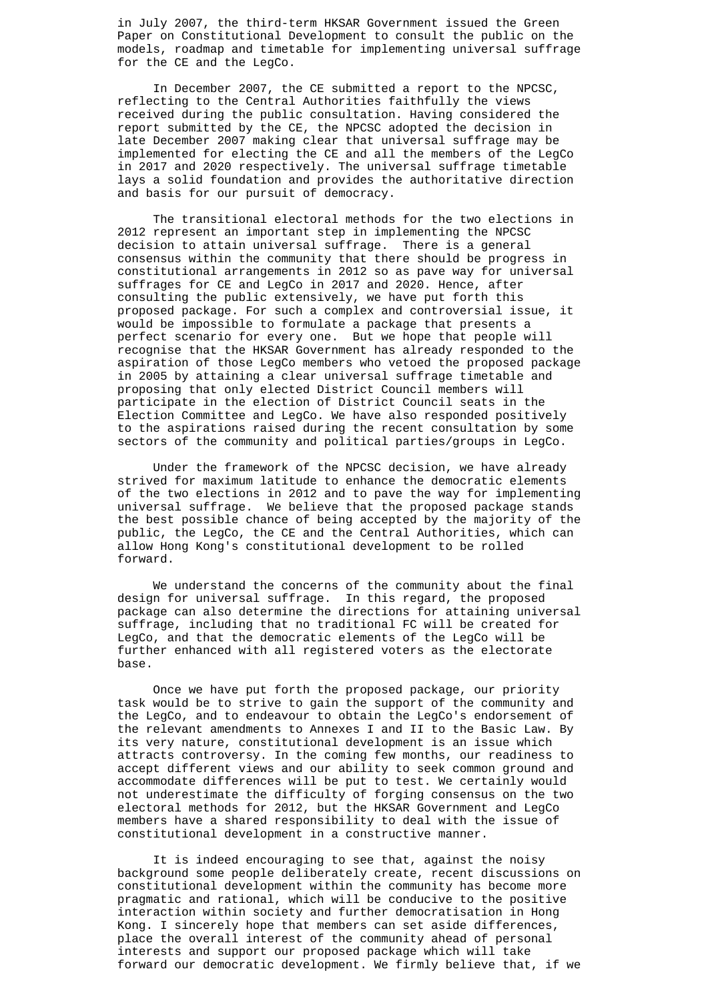in July 2007, the third-term HKSAR Government issued the Green Paper on Constitutional Development to consult the public on the models, roadmap and timetable for implementing universal suffrage for the CE and the LegCo.

 In December 2007, the CE submitted a report to the NPCSC, reflecting to the Central Authorities faithfully the views received during the public consultation. Having considered the report submitted by the CE, the NPCSC adopted the decision in late December 2007 making clear that universal suffrage may be implemented for electing the CE and all the members of the LegCo in 2017 and 2020 respectively. The universal suffrage timetable lays a solid foundation and provides the authoritative direction and basis for our pursuit of democracy.

 The transitional electoral methods for the two elections in 2012 represent an important step in implementing the NPCSC decision to attain universal suffrage. There is a general consensus within the community that there should be progress in constitutional arrangements in 2012 so as pave way for universal suffrages for CE and LegCo in 2017 and 2020. Hence, after consulting the public extensively, we have put forth this proposed package. For such a complex and controversial issue, it would be impossible to formulate a package that presents a perfect scenario for every one. But we hope that people will recognise that the HKSAR Government has already responded to the aspiration of those LegCo members who vetoed the proposed package in 2005 by attaining a clear universal suffrage timetable and proposing that only elected District Council members will participate in the election of District Council seats in the Election Committee and LegCo. We have also responded positively to the aspirations raised during the recent consultation by some sectors of the community and political parties/groups in LegCo.

 Under the framework of the NPCSC decision, we have already strived for maximum latitude to enhance the democratic elements of the two elections in 2012 and to pave the way for implementing universal suffrage. We believe that the proposed package stands the best possible chance of being accepted by the majority of the public, the LegCo, the CE and the Central Authorities, which can allow Hong Kong's constitutional development to be rolled forward.

 We understand the concerns of the community about the final design for universal suffrage. In this regard, the proposed package can also determine the directions for attaining universal suffrage, including that no traditional FC will be created for LegCo, and that the democratic elements of the LegCo will be further enhanced with all registered voters as the electorate base.

 Once we have put forth the proposed package, our priority task would be to strive to gain the support of the community and the LegCo, and to endeavour to obtain the LegCo's endorsement of the relevant amendments to Annexes I and II to the Basic Law. By its very nature, constitutional development is an issue which attracts controversy. In the coming few months, our readiness to accept different views and our ability to seek common ground and accommodate differences will be put to test. We certainly would not underestimate the difficulty of forging consensus on the two electoral methods for 2012, but the HKSAR Government and LegCo members have a shared responsibility to deal with the issue of constitutional development in a constructive manner.

 It is indeed encouraging to see that, against the noisy background some people deliberately create, recent discussions on constitutional development within the community has become more pragmatic and rational, which will be conducive to the positive interaction within society and further democratisation in Hong Kong. I sincerely hope that members can set aside differences, place the overall interest of the community ahead of personal interests and support our proposed package which will take forward our democratic development. We firmly believe that, if we